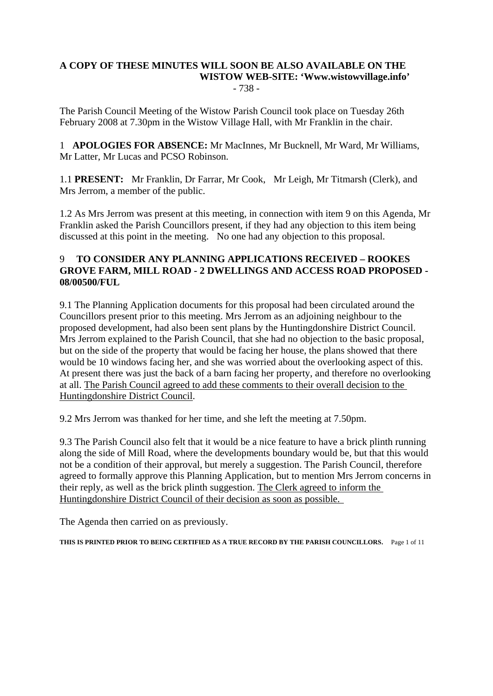#### **A COPY OF THESE MINUTES WILL SOON BE ALSO AVAILABLE ON THE WISTOW WEB-SITE: 'Www.wistowvillage.info'**  - 738 -

The Parish Council Meeting of the Wistow Parish Council took place on Tuesday 26th February 2008 at 7.30pm in the Wistow Village Hall, with Mr Franklin in the chair.

1 **APOLOGIES FOR ABSENCE:** Mr MacInnes, Mr Bucknell, Mr Ward, Mr Williams, Mr Latter, Mr Lucas and PCSO Robinson.

1.1 **PRESENT:** Mr Franklin, Dr Farrar, Mr Cook, Mr Leigh, Mr Titmarsh (Clerk), and Mrs Jerrom, a member of the public.

1.2 As Mrs Jerrom was present at this meeting, in connection with item 9 on this Agenda, Mr Franklin asked the Parish Councillors present, if they had any objection to this item being discussed at this point in the meeting. No one had any objection to this proposal.

## 9 **TO CONSIDER ANY PLANNING APPLICATIONS RECEIVED – ROOKES GROVE FARM, MILL ROAD - 2 DWELLINGS AND ACCESS ROAD PROPOSED - 08/00500/FUL**

9.1 The Planning Application documents for this proposal had been circulated around the Councillors present prior to this meeting. Mrs Jerrom as an adjoining neighbour to the proposed development, had also been sent plans by the Huntingdonshire District Council. Mrs Jerrom explained to the Parish Council, that she had no objection to the basic proposal, but on the side of the property that would be facing her house, the plans showed that there would be 10 windows facing her, and she was worried about the overlooking aspect of this. At present there was just the back of a barn facing her property, and therefore no overlooking at all. The Parish Council agreed to add these comments to their overall decision to the Huntingdonshire District Council.

9.2 Mrs Jerrom was thanked for her time, and she left the meeting at 7.50pm.

9.3 The Parish Council also felt that it would be a nice feature to have a brick plinth running along the side of Mill Road, where the developments boundary would be, but that this would not be a condition of their approval, but merely a suggestion. The Parish Council, therefore agreed to formally approve this Planning Application, but to mention Mrs Jerrom concerns in their reply, as well as the brick plinth suggestion. The Clerk agreed to inform the Huntingdonshire District Council of their decision as soon as possible.

The Agenda then carried on as previously.

**THIS IS PRINTED PRIOR TO BEING CERTIFIED AS A TRUE RECORD BY THE PARISH COUNCILLORS.** Page 1 of 11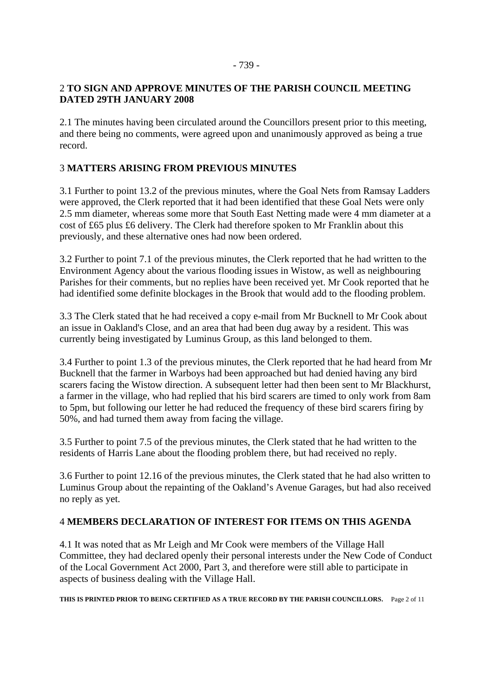#### - 739 -

### 2 **TO SIGN AND APPROVE MINUTES OF THE PARISH COUNCIL MEETING DATED 29TH JANUARY 2008**

2.1 The minutes having been circulated around the Councillors present prior to this meeting, and there being no comments, were agreed upon and unanimously approved as being a true record.

## 3 **MATTERS ARISING FROM PREVIOUS MINUTES**

3.1 Further to point 13.2 of the previous minutes, where the Goal Nets from Ramsay Ladders were approved, the Clerk reported that it had been identified that these Goal Nets were only 2.5 mm diameter, whereas some more that South East Netting made were 4 mm diameter at a cost of £65 plus £6 delivery. The Clerk had therefore spoken to Mr Franklin about this previously, and these alternative ones had now been ordered.

3.2 Further to point 7.1 of the previous minutes, the Clerk reported that he had written to the Environment Agency about the various flooding issues in Wistow, as well as neighbouring Parishes for their comments, but no replies have been received yet. Mr Cook reported that he had identified some definite blockages in the Brook that would add to the flooding problem.

3.3 The Clerk stated that he had received a copy e-mail from Mr Bucknell to Mr Cook about an issue in Oakland's Close, and an area that had been dug away by a resident. This was currently being investigated by Luminus Group, as this land belonged to them.

3.4 Further to point 1.3 of the previous minutes, the Clerk reported that he had heard from Mr Bucknell that the farmer in Warboys had been approached but had denied having any bird scarers facing the Wistow direction. A subsequent letter had then been sent to Mr Blackhurst, a farmer in the village, who had replied that his bird scarers are timed to only work from 8am to 5pm, but following our letter he had reduced the frequency of these bird scarers firing by 50%, and had turned them away from facing the village.

3.5 Further to point 7.5 of the previous minutes, the Clerk stated that he had written to the residents of Harris Lane about the flooding problem there, but had received no reply.

3.6 Further to point 12.16 of the previous minutes, the Clerk stated that he had also written to Luminus Group about the repainting of the Oakland's Avenue Garages, but had also received no reply as yet.

## 4 **MEMBERS DECLARATION OF INTEREST FOR ITEMS ON THIS AGENDA**

4.1 It was noted that as Mr Leigh and Mr Cook were members of the Village Hall Committee, they had declared openly their personal interests under the New Code of Conduct of the Local Government Act 2000, Part 3, and therefore were still able to participate in aspects of business dealing with the Village Hall.

**THIS IS PRINTED PRIOR TO BEING CERTIFIED AS A TRUE RECORD BY THE PARISH COUNCILLORS.** Page 2 of 11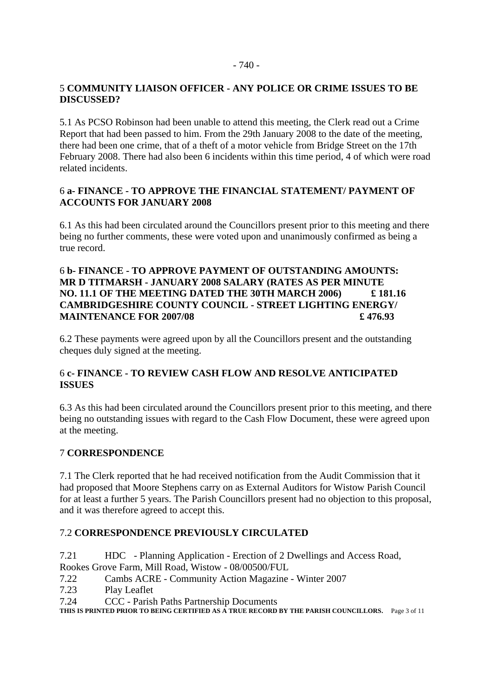## 5 **COMMUNITY LIAISON OFFICER - ANY POLICE OR CRIME ISSUES TO BE DISCUSSED?**

5.1 As PCSO Robinson had been unable to attend this meeting, the Clerk read out a Crime Report that had been passed to him. From the 29th January 2008 to the date of the meeting, there had been one crime, that of a theft of a motor vehicle from Bridge Street on the 17th February 2008. There had also been 6 incidents within this time period, 4 of which were road related incidents.

## 6 **a- FINANCE - TO APPROVE THE FINANCIAL STATEMENT/ PAYMENT OF ACCOUNTS FOR JANUARY 2008**

6.1 As this had been circulated around the Councillors present prior to this meeting and there being no further comments, these were voted upon and unanimously confirmed as being a true record.

## 6 **b- FINANCE - TO APPROVE PAYMENT OF OUTSTANDING AMOUNTS: MR D TITMARSH - JANUARY 2008 SALARY (RATES AS PER MINUTE NO. 11.1 OF THE MEETING DATED THE 30TH MARCH 2006) £ 181.16 CAMBRIDGESHIRE COUNTY COUNCIL - STREET LIGHTING ENERGY/ MAINTENANCE FOR 2007/08 £ 476.93**

6.2 These payments were agreed upon by all the Councillors present and the outstanding cheques duly signed at the meeting.

## 6 **c- FINANCE - TO REVIEW CASH FLOW AND RESOLVE ANTICIPATED ISSUES**

6.3 As this had been circulated around the Councillors present prior to this meeting, and there being no outstanding issues with regard to the Cash Flow Document, these were agreed upon at the meeting.

#### 7 **CORRESPONDENCE**

7.1 The Clerk reported that he had received notification from the Audit Commission that it had proposed that Moore Stephens carry on as External Auditors for Wistow Parish Council for at least a further 5 years. The Parish Councillors present had no objection to this proposal, and it was therefore agreed to accept this.

## 7.2 **CORRESPONDENCE PREVIOUSLY CIRCULATED**

7.21 HDC - Planning Application - Erection of 2 Dwellings and Access Road, Rookes Grove Farm, Mill Road, Wistow - 08/00500/FUL

- 7.22 Cambs ACRE Community Action Magazine Winter 2007
- 7.23 Play Leaflet
- 7.24 CCC Parish Paths Partnership Documents

**THIS IS PRINTED PRIOR TO BEING CERTIFIED AS A TRUE RECORD BY THE PARISH COUNCILLORS.** Page 3 of 11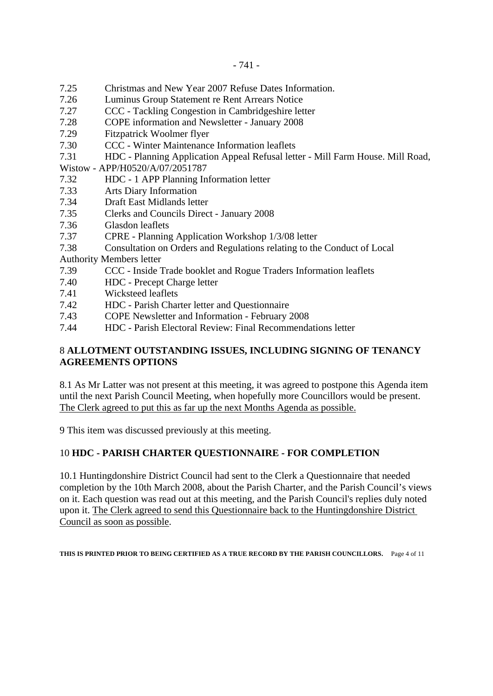- 7.25 Christmas and New Year 2007 Refuse Dates Information.
- 7.26 Luminus Group Statement re Rent Arrears Notice
- 7.27 CCC Tackling Congestion in Cambridgeshire letter
- 7.28 COPE information and Newsletter January 2008
- 7.29 Fitzpatrick Woolmer flyer
- 7.30 CCC Winter Maintenance Information leaflets
- 7.31 HDC Planning Application Appeal Refusal letter Mill Farm House. Mill Road,
- Wistow APP/H0520/A/07/2051787
- 7.32 HDC 1 APP Planning Information letter
- 7.33 Arts Diary Information
- 7.34 Draft East Midlands letter
- 7.35 Clerks and Councils Direct January 2008
- 7.36 Glasdon leaflets
- 7.37 CPRE Planning Application Workshop 1/3/08 letter
- 7.38 Consultation on Orders and Regulations relating to the Conduct of Local

Authority Members letter

- 7.39 CCC Inside Trade booklet and Rogue Traders Information leaflets
- 7.40 HDC Precept Charge letter
- 7.41 Wicksteed leaflets
- 7.42 HDC Parish Charter letter and Questionnaire
- 7.43 COPE Newsletter and Information February 2008
- 7.44 HDC Parish Electoral Review: Final Recommendations letter

### 8 **ALLOTMENT OUTSTANDING ISSUES, INCLUDING SIGNING OF TENANCY AGREEMENTS OPTIONS**

8.1 As Mr Latter was not present at this meeting, it was agreed to postpone this Agenda item until the next Parish Council Meeting, when hopefully more Councillors would be present. The Clerk agreed to put this as far up the next Months Agenda as possible.

9 This item was discussed previously at this meeting.

#### 10 **HDC - PARISH CHARTER QUESTIONNAIRE - FOR COMPLETION**

10.1 Huntingdonshire District Council had sent to the Clerk a Questionnaire that needed completion by the 10th March 2008, about the Parish Charter, and the Parish Council's views on it. Each question was read out at this meeting, and the Parish Council's replies duly noted upon it. The Clerk agreed to send this Questionnaire back to the Huntingdonshire District Council as soon as possible.

**THIS IS PRINTED PRIOR TO BEING CERTIFIED AS A TRUE RECORD BY THE PARISH COUNCILLORS.** Page 4 of 11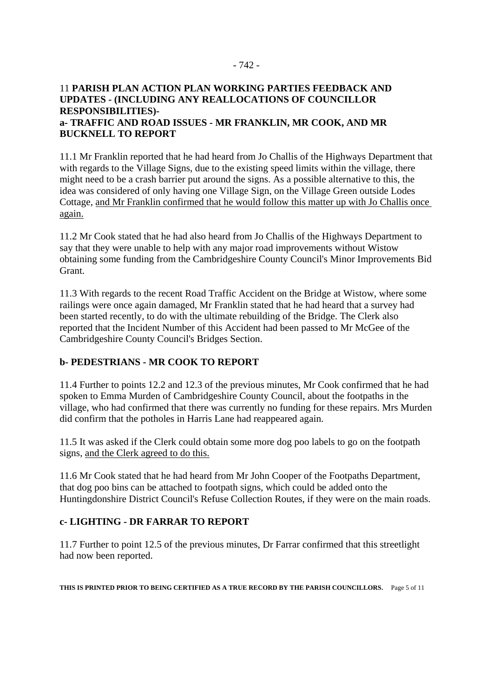### 11 **PARISH PLAN ACTION PLAN WORKING PARTIES FEEDBACK AND UPDATES - (INCLUDING ANY REALLOCATIONS OF COUNCILLOR RESPONSIBILITIES) a- TRAFFIC AND ROAD ISSUES - MR FRANKLIN, MR COOK, AND MR BUCKNELL TO REPORT**

11.1 Mr Franklin reported that he had heard from Jo Challis of the Highways Department that with regards to the Village Signs, due to the existing speed limits within the village, there might need to be a crash barrier put around the signs. As a possible alternative to this, the idea was considered of only having one Village Sign, on the Village Green outside Lodes Cottage, and Mr Franklin confirmed that he would follow this matter up with Jo Challis once again.

11.2 Mr Cook stated that he had also heard from Jo Challis of the Highways Department to say that they were unable to help with any major road improvements without Wistow obtaining some funding from the Cambridgeshire County Council's Minor Improvements Bid Grant.

11.3 With regards to the recent Road Traffic Accident on the Bridge at Wistow, where some railings were once again damaged, Mr Franklin stated that he had heard that a survey had been started recently, to do with the ultimate rebuilding of the Bridge. The Clerk also reported that the Incident Number of this Accident had been passed to Mr McGee of the Cambridgeshire County Council's Bridges Section.

# **b- PEDESTRIANS - MR COOK TO REPORT**

11.4 Further to points 12.2 and 12.3 of the previous minutes, Mr Cook confirmed that he had spoken to Emma Murden of Cambridgeshire County Council, about the footpaths in the village, who had confirmed that there was currently no funding for these repairs. Mrs Murden did confirm that the potholes in Harris Lane had reappeared again.

11.5 It was asked if the Clerk could obtain some more dog poo labels to go on the footpath signs, and the Clerk agreed to do this.

11.6 Mr Cook stated that he had heard from Mr John Cooper of the Footpaths Department, that dog poo bins can be attached to footpath signs, which could be added onto the Huntingdonshire District Council's Refuse Collection Routes, if they were on the main roads.

## **c- LIGHTING - DR FARRAR TO REPORT**

11.7 Further to point 12.5 of the previous minutes, Dr Farrar confirmed that this streetlight had now been reported.

**THIS IS PRINTED PRIOR TO BEING CERTIFIED AS A TRUE RECORD BY THE PARISH COUNCILLORS.** Page 5 of 11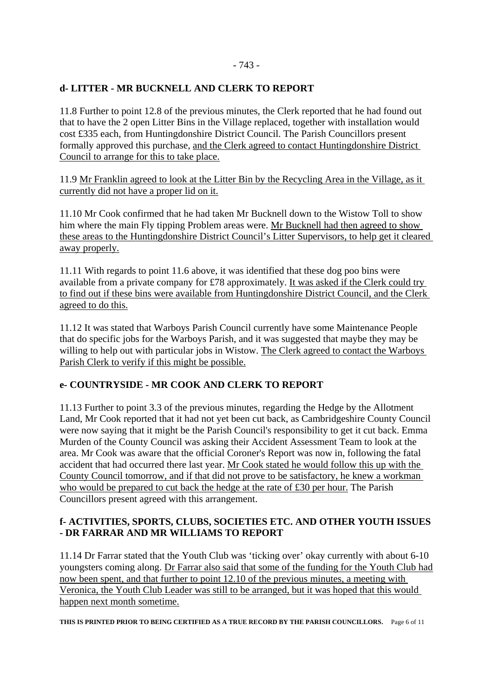## - 743 -

### **d- LITTER - MR BUCKNELL AND CLERK TO REPORT**

11.8 Further to point 12.8 of the previous minutes, the Clerk reported that he had found out that to have the 2 open Litter Bins in the Village replaced, together with installation would cost £335 each, from Huntingdonshire District Council. The Parish Councillors present formally approved this purchase, and the Clerk agreed to contact Huntingdonshire District Council to arrange for this to take place.

11.9 Mr Franklin agreed to look at the Litter Bin by the Recycling Area in the Village, as it currently did not have a proper lid on it.

11.10 Mr Cook confirmed that he had taken Mr Bucknell down to the Wistow Toll to show him where the main Fly tipping Problem areas were. Mr Bucknell had then agreed to show these areas to the Huntingdonshire District Council's Litter Supervisors, to help get it cleared away properly.

11.11 With regards to point 11.6 above, it was identified that these dog poo bins were available from a private company for £78 approximately. It was asked if the Clerk could try to find out if these bins were available from Huntingdonshire District Council, and the Clerk agreed to do this.

11.12 It was stated that Warboys Parish Council currently have some Maintenance People that do specific jobs for the Warboys Parish, and it was suggested that maybe they may be willing to help out with particular jobs in Wistow. The Clerk agreed to contact the Warboys Parish Clerk to verify if this might be possible.

## **e- COUNTRYSIDE - MR COOK AND CLERK TO REPORT**

11.13 Further to point 3.3 of the previous minutes, regarding the Hedge by the Allotment Land, Mr Cook reported that it had not yet been cut back, as Cambridgeshire County Council were now saying that it might be the Parish Council's responsibility to get it cut back. Emma Murden of the County Council was asking their Accident Assessment Team to look at the area. Mr Cook was aware that the official Coroner's Report was now in, following the fatal accident that had occurred there last year. Mr Cook stated he would follow this up with the County Council tomorrow, and if that did not prove to be satisfactory, he knew a workman who would be prepared to cut back the hedge at the rate of £30 per hour. The Parish Councillors present agreed with this arrangement.

### **f- ACTIVITIES, SPORTS, CLUBS, SOCIETIES ETC. AND OTHER YOUTH ISSUES - DR FARRAR AND MR WILLIAMS TO REPORT**

11.14 Dr Farrar stated that the Youth Club was 'ticking over' okay currently with about 6-10 youngsters coming along. Dr Farrar also said that some of the funding for the Youth Club had now been spent, and that further to point 12.10 of the previous minutes, a meeting with Veronica, the Youth Club Leader was still to be arranged, but it was hoped that this would happen next month sometime.

**THIS IS PRINTED PRIOR TO BEING CERTIFIED AS A TRUE RECORD BY THE PARISH COUNCILLORS.** Page 6 of 11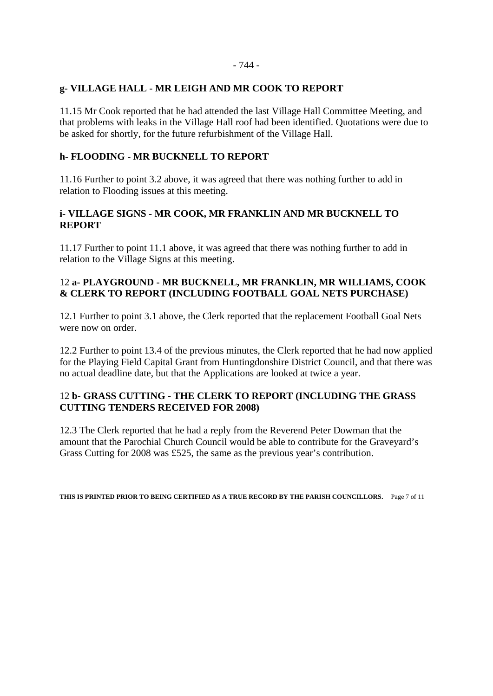#### - 744 -

#### **g- VILLAGE HALL - MR LEIGH AND MR COOK TO REPORT**

11.15 Mr Cook reported that he had attended the last Village Hall Committee Meeting, and that problems with leaks in the Village Hall roof had been identified. Quotations were due to be asked for shortly, for the future refurbishment of the Village Hall.

### **h- FLOODING - MR BUCKNELL TO REPORT**

11.16 Further to point 3.2 above, it was agreed that there was nothing further to add in relation to Flooding issues at this meeting.

### **i- VILLAGE SIGNS - MR COOK, MR FRANKLIN AND MR BUCKNELL TO REPORT**

11.17 Further to point 11.1 above, it was agreed that there was nothing further to add in relation to the Village Signs at this meeting.

## 12 **a- PLAYGROUND - MR BUCKNELL, MR FRANKLIN, MR WILLIAMS, COOK & CLERK TO REPORT (INCLUDING FOOTBALL GOAL NETS PURCHASE)**

12.1 Further to point 3.1 above, the Clerk reported that the replacement Football Goal Nets were now on order.

12.2 Further to point 13.4 of the previous minutes, the Clerk reported that he had now applied for the Playing Field Capital Grant from Huntingdonshire District Council, and that there was no actual deadline date, but that the Applications are looked at twice a year.

### 12 **b- GRASS CUTTING - THE CLERK TO REPORT (INCLUDING THE GRASS CUTTING TENDERS RECEIVED FOR 2008)**

12.3 The Clerk reported that he had a reply from the Reverend Peter Dowman that the amount that the Parochial Church Council would be able to contribute for the Graveyard's Grass Cutting for 2008 was £525, the same as the previous year's contribution.

**THIS IS PRINTED PRIOR TO BEING CERTIFIED AS A TRUE RECORD BY THE PARISH COUNCILLORS.** Page 7 of 11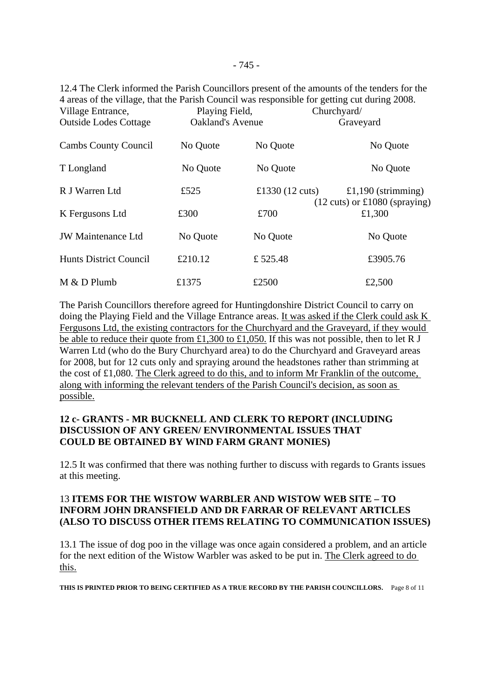12.4 The Clerk informed the Parish Councillors present of the amounts of the tenders for the 4 areas of the village, that the Parish Council was responsible for getting cut during 2008. Village Entrance, Playing Field, Churchyard/ Outside Lodes Cottage Oakland's Avenue Graveyard

| <b>Cambs County Council</b> | No Quote | No Quote                  | No Quote                                          |  |
|-----------------------------|----------|---------------------------|---------------------------------------------------|--|
| T Longland                  | No Quote | No Quote                  | No Quote                                          |  |
| R J Warren Ltd              | £525     | £1330 $(12 \text{ cuts})$ | £1,190 (strimming)                                |  |
| K Fergusons Ltd             | £300     | £700                      | $(12 \text{ cuts})$ or £1080 (spraying)<br>£1,300 |  |
| <b>JW</b> Maintenance Ltd   | No Quote | No Quote                  | No Quote                                          |  |
| Hunts District Council      | £210.12  | £525.48                   | £3905.76                                          |  |
| $M & D$ Plumb               | £1375    | £2500                     | £2,500                                            |  |

The Parish Councillors therefore agreed for Huntingdonshire District Council to carry on doing the Playing Field and the Village Entrance areas. It was asked if the Clerk could ask K Fergusons Ltd, the existing contractors for the Churchyard and the Graveyard, if they would be able to reduce their quote from £1,300 to £1,050. If this was not possible, then to let R J Warren Ltd (who do the Bury Churchyard area) to do the Churchyard and Graveyard areas for 2008, but for 12 cuts only and spraying around the headstones rather than strimming at the cost of £1,080. The Clerk agreed to do this, and to inform Mr Franklin of the outcome, along with informing the relevant tenders of the Parish Council's decision, as soon as possible.

### **12 c- GRANTS - MR BUCKNELL AND CLERK TO REPORT (INCLUDING DISCUSSION OF ANY GREEN/ ENVIRONMENTAL ISSUES THAT COULD BE OBTAINED BY WIND FARM GRANT MONIES)**

12.5 It was confirmed that there was nothing further to discuss with regards to Grants issues at this meeting.

### 13 **ITEMS FOR THE WISTOW WARBLER AND WISTOW WEB SITE – TO INFORM JOHN DRANSFIELD AND DR FARRAR OF RELEVANT ARTICLES (ALSO TO DISCUSS OTHER ITEMS RELATING TO COMMUNICATION ISSUES)**

13.1 The issue of dog poo in the village was once again considered a problem, and an article for the next edition of the Wistow Warbler was asked to be put in. The Clerk agreed to do this.

**THIS IS PRINTED PRIOR TO BEING CERTIFIED AS A TRUE RECORD BY THE PARISH COUNCILLORS.** Page 8 of 11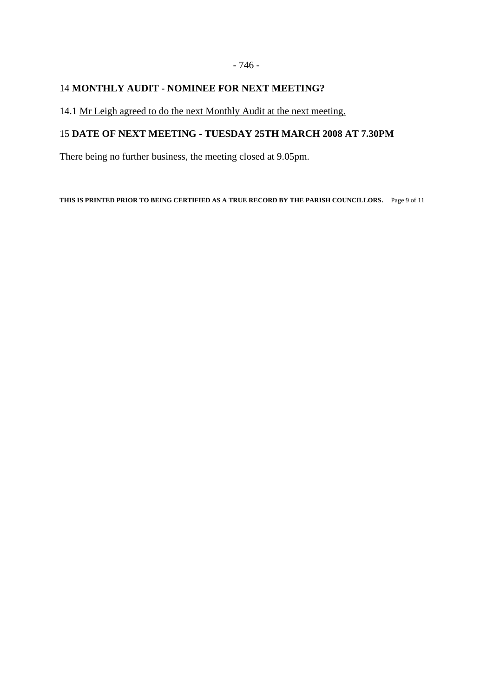# - 746 -

## 14 **MONTHLY AUDIT - NOMINEE FOR NEXT MEETING?**

14.1 Mr Leigh agreed to do the next Monthly Audit at the next meeting.

# 15 **DATE OF NEXT MEETING - TUESDAY 25TH MARCH 2008 AT 7.30PM**

There being no further business, the meeting closed at 9.05pm.

**THIS IS PRINTED PRIOR TO BEING CERTIFIED AS A TRUE RECORD BY THE PARISH COUNCILLORS.** Page 9 of 11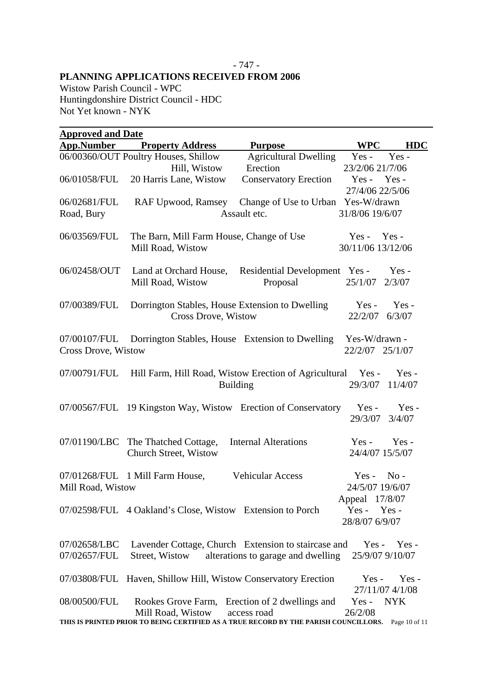#### - 747 - **PLANNING APPLICATIONS RECEIVED FROM 2006**

Wistow Parish Council - WPC Huntingdonshire District Council - HDC Not Yet known - NYK

| <b>Approved and Date</b>                                                                           |                                                                |                                                |                                     |  |  |
|----------------------------------------------------------------------------------------------------|----------------------------------------------------------------|------------------------------------------------|-------------------------------------|--|--|
| <b>App.Number</b>                                                                                  | <b>Property Address</b>                                        | <b>Purpose</b>                                 | WPC<br><b>HDC</b>                   |  |  |
|                                                                                                    | 06/00360/OUT Poultry Houses, Shillow                           | <b>Agricultural Dwelling</b>                   | Yes-<br>$Yes -$                     |  |  |
|                                                                                                    | Hill, Wistow                                                   | Erection                                       | 23/2/06 21/7/06                     |  |  |
| 06/01058/FUL                                                                                       | 20 Harris Lane, Wistow                                         | <b>Conservatory Erection</b>                   | $Yes - Yes -$                       |  |  |
|                                                                                                    |                                                                |                                                | 27/4/06 22/5/06                     |  |  |
| 06/02681/FUL                                                                                       | RAF Upwood, Ramsey                                             | Change of Use to Urban Yes-W/drawn             |                                     |  |  |
| Road, Bury                                                                                         |                                                                | Assault etc.                                   | 31/8/06 19/6/07                     |  |  |
|                                                                                                    |                                                                |                                                |                                     |  |  |
| 06/03569/FUL                                                                                       | The Barn, Mill Farm House, Change of Use                       |                                                | $Yes -$<br>$Yes -$                  |  |  |
|                                                                                                    | Mill Road, Wistow                                              |                                                | 30/11/06 13/12/06                   |  |  |
| 06/02458/OUT                                                                                       | Land at Orchard House,                                         | Residential Development Yes -                  | $Yes -$                             |  |  |
|                                                                                                    | Mill Road, Wistow                                              | Proposal                                       | 25/1/07<br>2/3/07                   |  |  |
|                                                                                                    |                                                                |                                                |                                     |  |  |
| 07/00389/FUL                                                                                       | Dorrington Stables, House Extension to Dwelling                |                                                | $Yes -$<br>$Yes -$                  |  |  |
|                                                                                                    | <b>Cross Drove, Wistow</b>                                     |                                                | 22/2/07<br>6/3/07                   |  |  |
|                                                                                                    |                                                                |                                                |                                     |  |  |
| 07/00107/FUL                                                                                       | Dorrington Stables, House Extension to Dwelling                |                                                | Yes-W/drawn -                       |  |  |
| Cross Drove, Wistow                                                                                |                                                                |                                                | 22/2/07 25/1/07                     |  |  |
|                                                                                                    |                                                                |                                                |                                     |  |  |
| 07/00791/FUL                                                                                       | Hill Farm, Hill Road, Wistow Erection of Agricultural          |                                                | $Yes -$<br>Yes-                     |  |  |
|                                                                                                    |                                                                | <b>Building</b>                                | 29/3/07<br>11/4/07                  |  |  |
|                                                                                                    |                                                                |                                                |                                     |  |  |
|                                                                                                    | 07/00567/FUL 19 Kingston Way, Wistow Erection of Conservatory  |                                                | $Yes -$<br>Yes-                     |  |  |
|                                                                                                    |                                                                |                                                | 29/3/07<br>3/4/07                   |  |  |
| 07/01190/LBC                                                                                       | The Thatched Cottage,                                          | <b>Internal Alterations</b>                    | Yes-<br>Yes-                        |  |  |
|                                                                                                    | Church Street, Wistow                                          |                                                | 24/4/07 15/5/07                     |  |  |
|                                                                                                    |                                                                |                                                |                                     |  |  |
|                                                                                                    | 07/01268/FUL 1 Mill Farm House,                                | <b>Vehicular Access</b>                        | $No -$<br>$Yes -$                   |  |  |
| Mill Road, Wistow                                                                                  |                                                                |                                                | 24/5/07 19/6/07                     |  |  |
|                                                                                                    |                                                                |                                                | Appeal 17/8/07                      |  |  |
|                                                                                                    | 07/02598/FUL 4 Oakland's Close, Wistow Extension to Porch      |                                                | Yes-Yes-                            |  |  |
|                                                                                                    |                                                                |                                                | 28/8/07 6/9/07                      |  |  |
|                                                                                                    |                                                                |                                                |                                     |  |  |
| 07/02658/LBC                                                                                       | Lavender Cottage, Church Extension to staircase and            |                                                | $Yes -$<br>$Yes -$                  |  |  |
| 07/02657/FUL                                                                                       | Street, Wistow                                                 | alterations to garage and dwelling             | 25/9/07 9/10/07                     |  |  |
|                                                                                                    |                                                                |                                                |                                     |  |  |
|                                                                                                    | 07/03808/FUL Haven, Shillow Hill, Wistow Conservatory Erection |                                                | $Yes -$<br>Yes -<br>27/11/07 4/1/08 |  |  |
| 08/00500/FUL                                                                                       |                                                                | Rookes Grove Farm, Erection of 2 dwellings and | $Yes -$<br><b>NYK</b>               |  |  |
|                                                                                                    | Mill Road, Wistow                                              | access road                                    | 26/2/08                             |  |  |
| THIS IS PRINTED PRIOR TO BEING CERTIFIED AS A TRUE RECORD BY THE PARISH COUNCILLORS. Page 10 of 11 |                                                                |                                                |                                     |  |  |